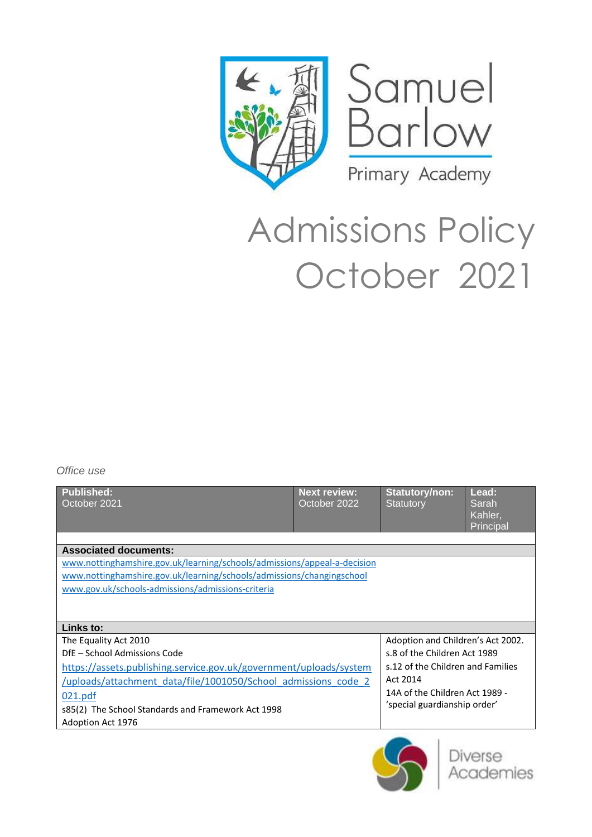



# Admissions Policy October 2021

*Office use*

| <b>Published:</b><br>October 2021                                        | <b>Next review:</b><br>October 2022 | <b>Statutory/non:</b><br><b>Statutory</b>                                                                       | Lead:<br>Sarah<br>Kahler,<br><b>Principal</b> |  |  |
|--------------------------------------------------------------------------|-------------------------------------|-----------------------------------------------------------------------------------------------------------------|-----------------------------------------------|--|--|
|                                                                          |                                     |                                                                                                                 |                                               |  |  |
| <b>Associated documents:</b>                                             |                                     |                                                                                                                 |                                               |  |  |
| www.nottinghamshire.gov.uk/learning/schools/admissions/appeal-a-decision |                                     |                                                                                                                 |                                               |  |  |
| www.nottinghamshire.gov.uk/learning/schools/admissions/changingschool    |                                     |                                                                                                                 |                                               |  |  |
| www.gov.uk/schools-admissions/admissions-criteria                        |                                     |                                                                                                                 |                                               |  |  |
|                                                                          |                                     |                                                                                                                 |                                               |  |  |
| Links to:                                                                |                                     |                                                                                                                 |                                               |  |  |
| The Equality Act 2010                                                    |                                     | Adoption and Children's Act 2002.                                                                               |                                               |  |  |
| DfE - School Admissions Code                                             |                                     | s.8 of the Children Act 1989                                                                                    |                                               |  |  |
| https://assets.publishing.service.gov.uk/government/uploads/system       |                                     | s.12 of the Children and Families<br>Act 2014<br>14A of the Children Act 1989 -<br>'special guardianship order' |                                               |  |  |
| /uploads/attachment data/file/1001050/School admissions code 2           |                                     |                                                                                                                 |                                               |  |  |
| 021.pdf                                                                  |                                     |                                                                                                                 |                                               |  |  |
| s85(2) The School Standards and Framework Act 1998                       |                                     |                                                                                                                 |                                               |  |  |
| Adoption Act 1976                                                        |                                     |                                                                                                                 |                                               |  |  |
|                                                                          |                                     |                                                                                                                 |                                               |  |  |

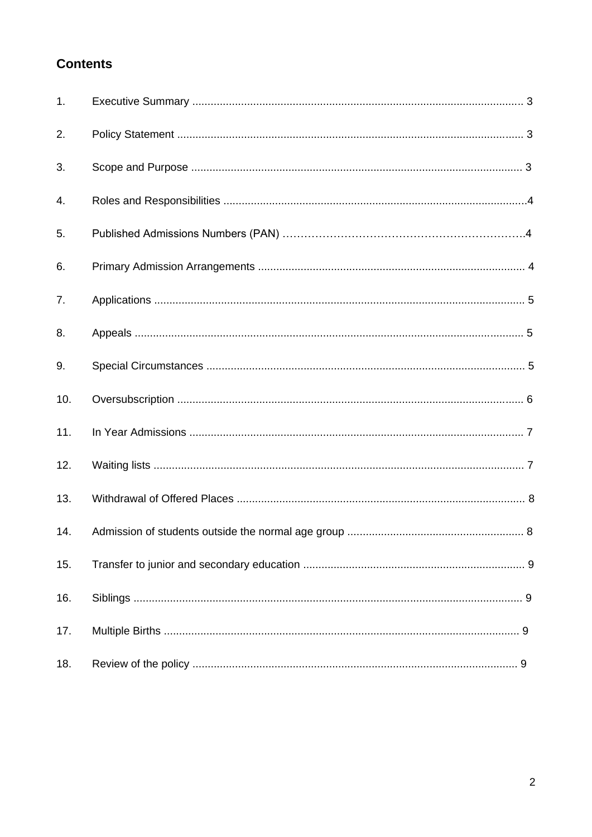# **Contents**

| 1.  |  |
|-----|--|
| 2.  |  |
| 3.  |  |
| 4.  |  |
| 5.  |  |
| 6.  |  |
| 7.  |  |
| 8.  |  |
| 9.  |  |
| 10. |  |
| 11. |  |
| 12. |  |
| 13. |  |
| 14. |  |
| 15. |  |
| 16. |  |
| 17. |  |
| 18. |  |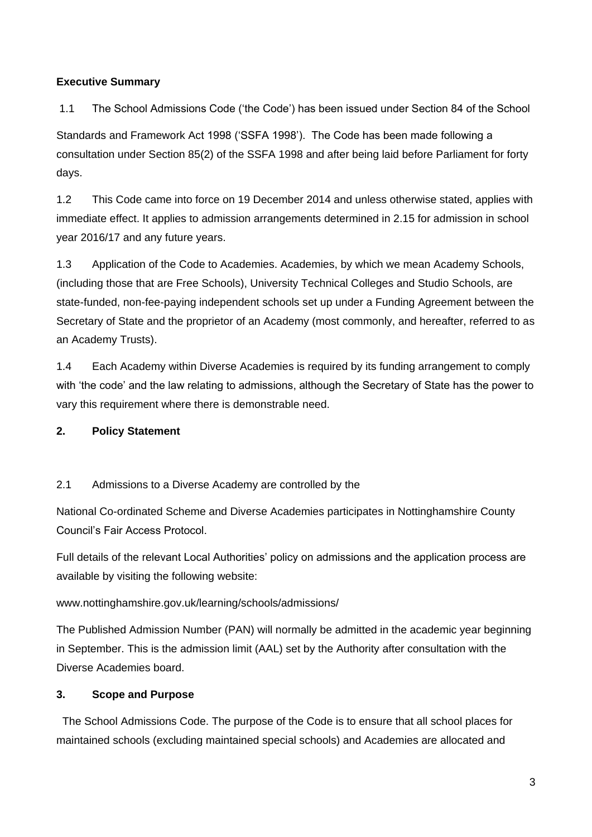# **Executive Summary**

1.1 The School Admissions Code ('the Code') has been issued under Section 84 of the School

Standards and Framework Act 1998 ('SSFA 1998'). The Code has been made following a consultation under Section 85(2) of the SSFA 1998 and after being laid before Parliament for forty days.

1.2 This Code came into force on 19 December 2014 and unless otherwise stated, applies with immediate effect. It applies to admission arrangements determined in 2.15 for admission in school year 2016/17 and any future years.

1.3 Application of the Code to Academies. Academies, by which we mean Academy Schools, (including those that are Free Schools), University Technical Colleges and Studio Schools, are state-funded, non-fee-paying independent schools set up under a Funding Agreement between the Secretary of State and the proprietor of an Academy (most commonly, and hereafter, referred to as an Academy Trusts).

1.4 Each Academy within Diverse Academies is required by its funding arrangement to comply with 'the code' and the law relating to admissions, although the Secretary of State has the power to vary this requirement where there is demonstrable need.

#### **2. Policy Statement**

#### 2.1 Admissions to a Diverse Academy are controlled by the

National Co-ordinated Scheme and Diverse Academies participates in Nottinghamshire County Council's Fair Access Protocol.

Full details of the relevant Local Authorities' policy on admissions and the application process are available by visiting the following website:

#### www.nottinghamshire.gov.uk/learning/schools/admissions/

The Published Admission Number (PAN) will normally be admitted in the academic year beginning in September. This is the admission limit (AAL) set by the Authority after consultation with the Diverse Academies board.

#### **3. Scope and Purpose**

 The School Admissions Code. The purpose of the Code is to ensure that all school places for maintained schools (excluding maintained special schools) and Academies are allocated and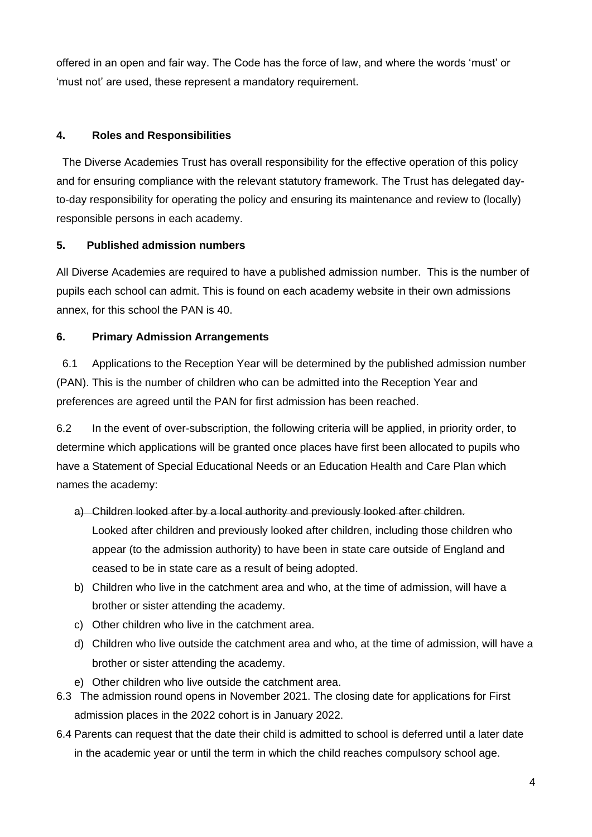offered in an open and fair way. The Code has the force of law, and where the words 'must' or 'must not' are used, these represent a mandatory requirement.

# **4. Roles and Responsibilities**

The Diverse Academies Trust has overall responsibility for the effective operation of this policy and for ensuring compliance with the relevant statutory framework. The Trust has delegated dayto-day responsibility for operating the policy and ensuring its maintenance and review to (locally) responsible persons in each academy.

# **5. Published admission numbers**

All Diverse Academies are required to have a published admission number. This is the number of pupils each school can admit. This is found on each academy website in their own admissions annex, for this school the PAN is 40.

# **6. Primary Admission Arrangements**

 6.1 Applications to the Reception Year will be determined by the published admission number (PAN). This is the number of children who can be admitted into the Reception Year and preferences are agreed until the PAN for first admission has been reached.

6.2 In the event of over-subscription, the following criteria will be applied, in priority order, to determine which applications will be granted once places have first been allocated to pupils who have a Statement of Special Educational Needs or an Education Health and Care Plan which names the academy:

- a) Children looked after by a local authority and previously looked after children. Looked after children and previously looked after children, including those children who appear (to the admission authority) to have been in state care outside of England and ceased to be in state care as a result of being adopted.
- b) Children who live in the catchment area and who, at the time of admission, will have a brother or sister attending the academy.
- c) Other children who live in the catchment area.
- d) Children who live outside the catchment area and who, at the time of admission, will have a brother or sister attending the academy.
- e) Other children who live outside the catchment area.
- 6.3 The admission round opens in November 2021. The closing date for applications for First admission places in the 2022 cohort is in January 2022.
- 6.4 Parents can request that the date their child is admitted to school is deferred until a later date in the academic year or until the term in which the child reaches compulsory school age.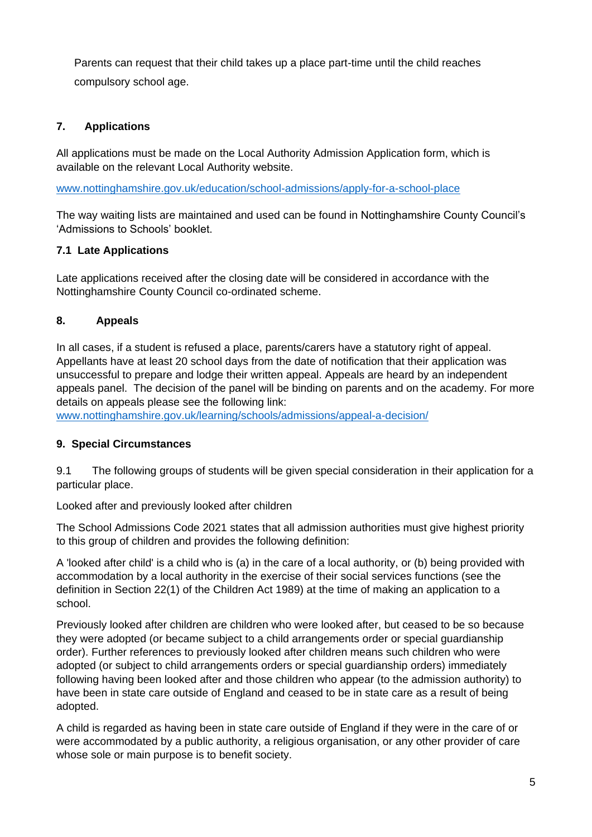Parents can request that their child takes up a place part-time until the child reaches compulsory school age.

# **7. Applications**

All applications must be made on the Local Authority Admission Application form, which is available on the relevant Local Authority website.

[www.nottinghamshire.gov.uk/education/school-admissions/apply-for-a-school-place](http://www.nottinghamshire.gov.uk/education/school-admissions/apply-for-a-school-place)

The way waiting lists are maintained and used can be found in Nottinghamshire County Council's 'Admissions to Schools' booklet.

# **7.1 Late Applications**

Late applications received after the closing date will be considered in accordance with the Nottinghamshire County Council co-ordinated scheme.

# **8. Appeals**

In all cases, if a student is refused a place, parents/carers have a statutory right of appeal. Appellants have at least 20 school days from the date of notification that their application was unsuccessful to prepare and lodge their written appeal. Appeals are heard by an independent appeals panel. The decision of the panel will be binding on parents and on the academy. For more details on appeals please see the following link:

[www.nottinghamshire.gov.uk/learning/schools/admissions/appeal-a-decision/](http://www.nottinghamshire.gov.uk/learning/schools/admissions/appeal-a-decision/)

#### **9. Special Circumstances**

9.1 The following groups of students will be given special consideration in their application for a particular place.

Looked after and previously looked after children

The School Admissions Code 2021 states that all admission authorities must give highest priority to this group of children and provides the following definition:

A 'looked after child' is a child who is (a) in the care of a local authority, or (b) being provided with accommodation by a local authority in the exercise of their social services functions (see the definition in Section 22(1) of the Children Act 1989) at the time of making an application to a school.

Previously looked after children are children who were looked after, but ceased to be so because they were adopted (or became subject to a child arrangements order or special guardianship order). Further references to previously looked after children means such children who were adopted (or subject to child arrangements orders or special guardianship orders) immediately following having been looked after and those children who appear (to the admission authority) to have been in state care outside of England and ceased to be in state care as a result of being adopted.

A child is regarded as having been in state care outside of England if they were in the care of or were accommodated by a public authority, a religious organisation, or any other provider of care whose sole or main purpose is to benefit society.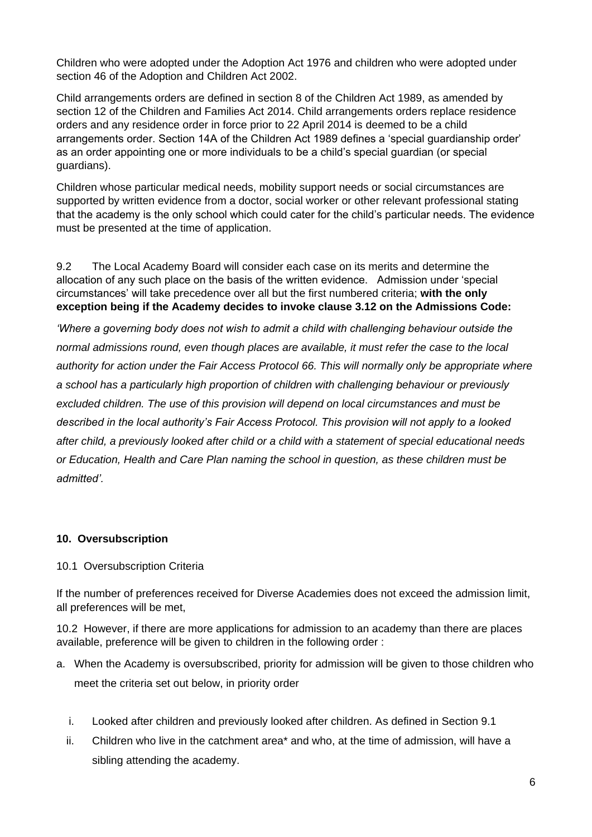Children who were adopted under the Adoption Act 1976 and children who were adopted under section 46 of the Adoption and Children Act 2002.

Child arrangements orders are defined in section 8 of the Children Act 1989, as amended by section 12 of the Children and Families Act 2014. Child arrangements orders replace residence orders and any residence order in force prior to 22 April 2014 is deemed to be a child arrangements order. Section 14A of the Children Act 1989 defines a 'special guardianship order' as an order appointing one or more individuals to be a child's special guardian (or special guardians).

Children whose particular medical needs, mobility support needs or social circumstances are supported by written evidence from a doctor, social worker or other relevant professional stating that the academy is the only school which could cater for the child's particular needs. The evidence must be presented at the time of application.

9.2 The Local Academy Board will consider each case on its merits and determine the allocation of any such place on the basis of the written evidence. Admission under 'special circumstances' will take precedence over all but the first numbered criteria; **with the only exception being if the Academy decides to invoke clause 3.12 on the Admissions Code:** 

*'Where a governing body does not wish to admit a child with challenging behaviour outside the normal admissions round, even though places are available, it must refer the case to the local authority for action under the Fair Access Protocol 66. This will normally only be appropriate where a school has a particularly high proportion of children with challenging behaviour or previously excluded children. The use of this provision will depend on local circumstances and must be described in the local authority's Fair Access Protocol. This provision will not apply to a looked after child, a previously looked after child or a child with a statement of special educational needs or Education, Health and Care Plan naming the school in question, as these children must be admitted'.* 

#### **10. Oversubscription**

#### 10.1 Oversubscription Criteria

If the number of preferences received for Diverse Academies does not exceed the admission limit, all preferences will be met,

10.2 However, if there are more applications for admission to an academy than there are places available, preference will be given to children in the following order :

- a. When the Academy is oversubscribed, priority for admission will be given to those children who meet the criteria set out below, in priority order
	- i. Looked after children and previously looked after children. As defined in Section 9.1
	- ii. Children who live in the catchment area\* and who, at the time of admission, will have a sibling attending the academy.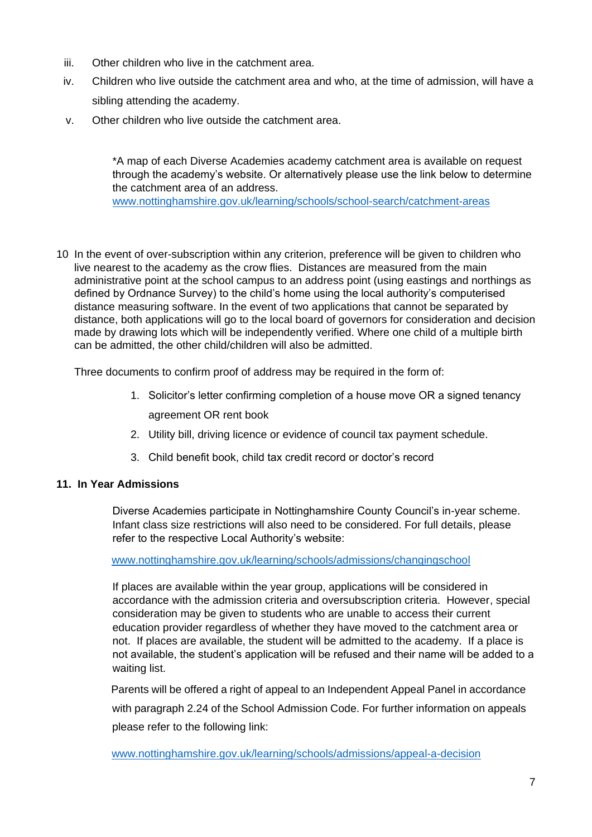- iii. Other children who live in the catchment area.
- iv. Children who live outside the catchment area and who, at the time of admission, will have a sibling attending the academy.
- v. Other children who live outside the catchment area.

\*A map of each Diverse Academies academy catchment area is available on request through the academy's website. Or alternatively please use the link below to determine the catchment area of an address.

[www.nottinghamshire.gov.uk/learning/schools/school-search/catchment-areas](http://www.nottinghamshire.gov.uk/learning/schools/school-search/catchment-areas)

10 In the event of over-subscription within any criterion, preference will be given to children who live nearest to the academy as the crow flies. Distances are measured from the main administrative point at the school campus to an address point (using eastings and northings as defined by Ordnance Survey) to the child's home using the local authority's computerised distance measuring software. In the event of two applications that cannot be separated by distance, both applications will go to the local board of governors for consideration and decision made by drawing lots which will be independently verified. Where one child of a multiple birth can be admitted, the other child/children will also be admitted.

Three documents to confirm proof of address may be required in the form of:

- 1. Solicitor's letter confirming completion of a house move OR a signed tenancy agreement OR rent book
- 2. Utility bill, driving licence or evidence of council tax payment schedule.
- 3. Child benefit book, child tax credit record or doctor's record

#### **11. In Year Admissions**

Diverse Academies participate in Nottinghamshire County Council's in-year scheme. Infant class size restrictions will also need to be considered. For full details, please refer to the respective Local Authority's website:

[www.nottinghamshire.gov.uk/learning/schools/admissions/changingschool](http://www.nottinghamshire.gov.uk/learning/schools/admissions/changingschool)

If places are available within the year group, applications will be considered in accordance with the admission criteria and oversubscription criteria. However, special consideration may be given to students who are unable to access their current education provider regardless of whether they have moved to the catchment area or not. If places are available, the student will be admitted to the academy. If a place is not available, the student's application will be refused and their name will be added to a waiting list.

Parents will be offered a right of appeal to an Independent Appeal Panel in accordance with paragraph 2.24 of the School Admission Code. For further information on appeals please refer to the following link:

[www.nottinghamshire.gov.uk/learning/schools/admissions/appeal-a-decision](http://www.nottinghamshire.gov.uk/learning/schools/admissions/appeal-a-decision)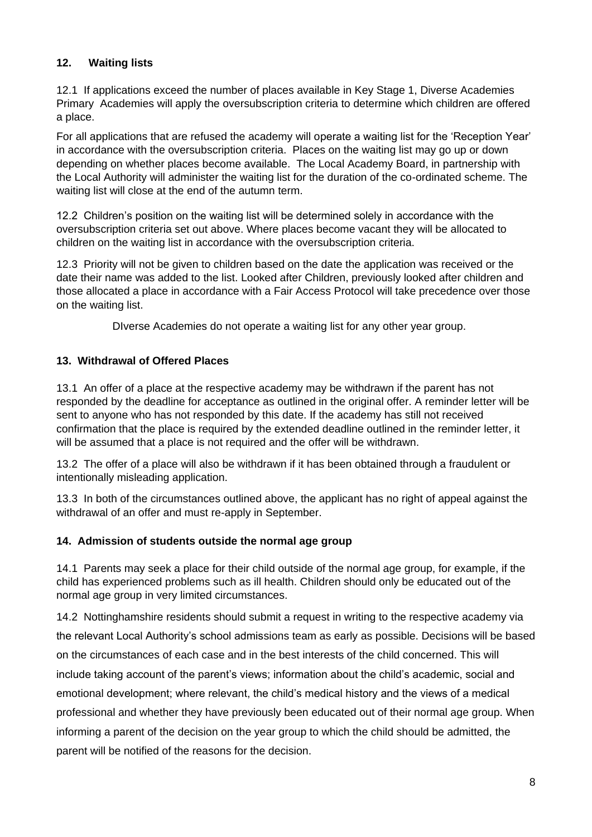# **12. Waiting lists**

12.1 If applications exceed the number of places available in Key Stage 1, Diverse Academies Primary Academies will apply the oversubscription criteria to determine which children are offered a place.

For all applications that are refused the academy will operate a waiting list for the 'Reception Year' in accordance with the oversubscription criteria. Places on the waiting list may go up or down depending on whether places become available. The Local Academy Board, in partnership with the Local Authority will administer the waiting list for the duration of the co-ordinated scheme. The waiting list will close at the end of the autumn term.

12.2 Children's position on the waiting list will be determined solely in accordance with the oversubscription criteria set out above. Where places become vacant they will be allocated to children on the waiting list in accordance with the oversubscription criteria.

12.3 Priority will not be given to children based on the date the application was received or the date their name was added to the list. Looked after Children, previously looked after children and those allocated a place in accordance with a Fair Access Protocol will take precedence over those on the waiting list.

DIverse Academies do not operate a waiting list for any other year group.

#### **13. Withdrawal of Offered Places**

13.1 An offer of a place at the respective academy may be withdrawn if the parent has not responded by the deadline for acceptance as outlined in the original offer. A reminder letter will be sent to anyone who has not responded by this date. If the academy has still not received confirmation that the place is required by the extended deadline outlined in the reminder letter, it will be assumed that a place is not required and the offer will be withdrawn.

13.2 The offer of a place will also be withdrawn if it has been obtained through a fraudulent or intentionally misleading application.

13.3 In both of the circumstances outlined above, the applicant has no right of appeal against the withdrawal of an offer and must re-apply in September.

#### **14. Admission of students outside the normal age group**

14.1 Parents may seek a place for their child outside of the normal age group, for example, if the child has experienced problems such as ill health. Children should only be educated out of the normal age group in very limited circumstances.

14.2 Nottinghamshire residents should submit a request in writing to the respective academy via the relevant Local Authority's school admissions team as early as possible. Decisions will be based on the circumstances of each case and in the best interests of the child concerned. This will include taking account of the parent's views; information about the child's academic, social and emotional development; where relevant, the child's medical history and the views of a medical professional and whether they have previously been educated out of their normal age group. When informing a parent of the decision on the year group to which the child should be admitted, the parent will be notified of the reasons for the decision.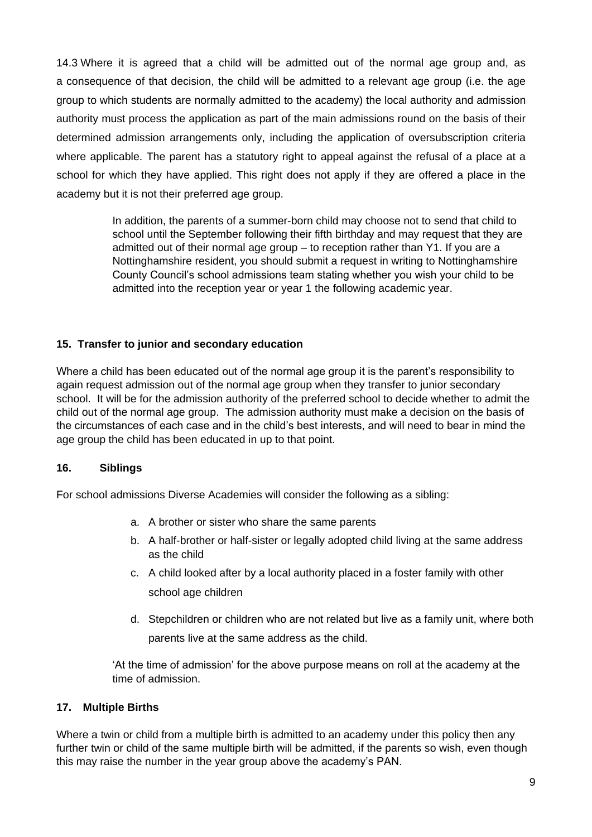14.3 Where it is agreed that a child will be admitted out of the normal age group and, as a consequence of that decision, the child will be admitted to a relevant age group (i.e. the age group to which students are normally admitted to the academy) the local authority and admission authority must process the application as part of the main admissions round on the basis of their determined admission arrangements only, including the application of oversubscription criteria where applicable. The parent has a statutory right to appeal against the refusal of a place at a school for which they have applied. This right does not apply if they are offered a place in the academy but it is not their preferred age group.

> In addition, the parents of a summer-born child may choose not to send that child to school until the September following their fifth birthday and may request that they are admitted out of their normal age group – to reception rather than Y1. If you are a Nottinghamshire resident, you should submit a request in writing to Nottinghamshire County Council's school admissions team stating whether you wish your child to be admitted into the reception year or year 1 the following academic year.

#### **15. Transfer to junior and secondary education**

Where a child has been educated out of the normal age group it is the parent's responsibility to again request admission out of the normal age group when they transfer to junior secondary school. It will be for the admission authority of the preferred school to decide whether to admit the child out of the normal age group. The admission authority must make a decision on the basis of the circumstances of each case and in the child's best interests, and will need to bear in mind the age group the child has been educated in up to that point.

#### **16. Siblings**

For school admissions Diverse Academies will consider the following as a sibling:

- a. A brother or sister who share the same parents
- b. A half-brother or half-sister or legally adopted child living at the same address as the child
- c. A child looked after by a local authority placed in a foster family with other school age children
- d. Stepchildren or children who are not related but live as a family unit, where both parents live at the same address as the child.

'At the time of admission' for the above purpose means on roll at the academy at the time of admission.

#### **17. Multiple Births**

Where a twin or child from a multiple birth is admitted to an academy under this policy then any further twin or child of the same multiple birth will be admitted, if the parents so wish, even though this may raise the number in the year group above the academy's PAN.